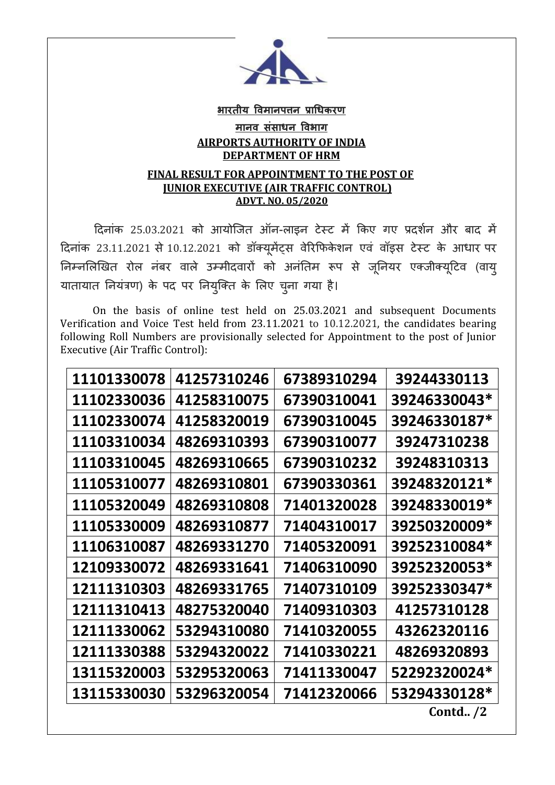

## **भारतीय विमानपत्तन प्राधिकरण मानि संसािन विभाग AIRPORTS AUTHORITY OF INDIA DEPARTMENT OF HRM**

## **FINAL RESULT FOR APPOINTMENT TO THE POST OF JUNIOR EXECUTIVE (AIR TRAFFIC CONTROL) ADVT. NO. 05/2020**

दिनांक 25.03.2021 को आयोजित ऑन-लाइन टेस्ट में किए गए प्रदर्शन और बाद में दिनांक 23.11.2021 से 10.12.2021 को डॉक्यूमेंट्स वेरिफिकेशन एवं वॉइस टेस्ट के आधार पर निम्नलिखित रोल नंबर वाले उम्मीदवारों को अनंतिम रूप से जूनियर एक्जीक्यूटिव (वायु यातायात नियंत्रण) के पद पर नियुक्ति के लिए चुना गया है।

 On the basis of online test held on 25.03.2021 and subsequent Documents Verification and Voice Test held from 23.11.2021 to 10.12.2021, the candidates bearing following Roll Numbers are provisionally selected for Appointment to the post of Junior Executive (Air Traffic Control):

| 11101330078 | 41257310246 | 67389310294 | 39244330113  |
|-------------|-------------|-------------|--------------|
| 11102330036 | 41258310075 | 67390310041 | 39246330043* |
| 11102330074 | 41258320019 | 67390310045 | 39246330187* |
| 11103310034 | 48269310393 | 67390310077 | 39247310238  |
| 11103310045 | 48269310665 | 67390310232 | 39248310313  |
| 11105310077 | 48269310801 | 67390330361 | 39248320121* |
| 11105320049 | 48269310808 | 71401320028 | 39248330019* |
| 11105330009 | 48269310877 | 71404310017 | 39250320009* |
| 11106310087 | 48269331270 | 71405320091 | 39252310084* |
| 12109330072 | 48269331641 | 71406310090 | 39252320053* |
| 12111310303 | 48269331765 | 71407310109 | 39252330347* |
| 12111310413 | 48275320040 | 71409310303 | 41257310128  |
| 12111330062 | 53294310080 | 71410320055 | 43262320116  |
| 12111330388 | 53294320022 | 71410330221 | 48269320893  |
| 13115320003 | 53295320063 | 71411330047 | 52292320024* |
| 13115330030 | 53296320054 | 71412320066 | 53294330128* |
|             |             |             | Contd. $/2$  |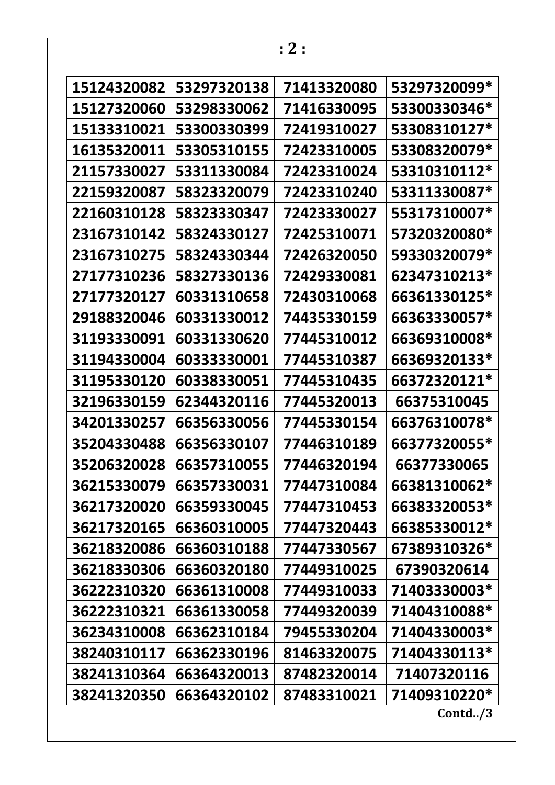| 15124320082 | 53297320138 | 71413320080 | 53297320099*        |
|-------------|-------------|-------------|---------------------|
| 15127320060 | 53298330062 | 71416330095 | 53300330346*        |
| 15133310021 | 53300330399 | 72419310027 | 53308310127*        |
| 16135320011 | 53305310155 | 72423310005 | 53308320079*        |
| 21157330027 | 53311330084 | 72423310024 | 53310310112*        |
| 22159320087 | 58323320079 | 72423310240 | 53311330087*        |
| 22160310128 | 58323330347 | 72423330027 | 55317310007*        |
| 23167310142 | 58324330127 | 72425310071 | 57320320080*        |
| 23167310275 | 58324330344 | 72426320050 | 59330320079*        |
| 27177310236 | 58327330136 | 72429330081 | 62347310213*        |
| 27177320127 | 60331310658 | 72430310068 | 66361330125*        |
| 29188320046 | 60331330012 | 74435330159 | 66363330057*        |
| 31193330091 | 60331330620 | 77445310012 | 66369310008*        |
| 31194330004 | 60333330001 | 77445310387 | 66369320133*        |
| 31195330120 | 60338330051 | 77445310435 | 66372320121*        |
| 32196330159 | 62344320116 | 77445320013 | 66375310045         |
| 34201330257 | 66356330056 | 77445330154 | 66376310078*        |
| 35204330488 | 66356330107 | 77446310189 | 66377320055*        |
| 35206320028 | 66357310055 | 77446320194 | 66377330065         |
| 36215330079 | 66357330031 | 77447310084 | 66381310062*        |
| 36217320020 | 66359330045 | 77447310453 | 66383320053*        |
| 36217320165 | 66360310005 | 77447320443 | 66385330012*        |
| 36218320086 | 66360310188 | 77447330567 | 67389310326*        |
| 36218330306 | 66360320180 | 77449310025 | 67390320614         |
| 36222310320 | 66361310008 | 77449310033 | 71403330003*        |
| 36222310321 | 66361330058 | 77449320039 | 71404310088*        |
| 36234310008 | 66362310184 | 79455330204 | 71404330003*        |
| 38240310117 | 66362330196 | 81463320075 | 71404330113*        |
| 38241310364 | 66364320013 | 87482320014 | 71407320116         |
| 38241320350 | 66364320102 | 87483310021 | 71409310220*        |
|             |             |             | $\text{Contd.} / 3$ |